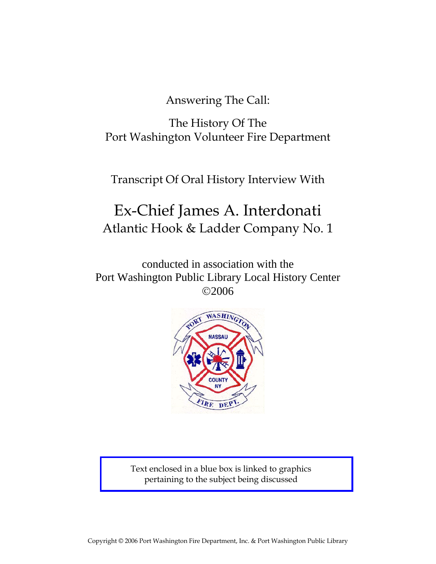Answering The Call:

The History Of The Port Washington Volunteer Fire Department

Transcript Of Oral History Interview With

# Ex-Chief James A. Interdonati Atlantic Hook & Ladder Company No. 1

conducted in association with the Port Washington Public Library Local History Center ©2006



Text enclosed in a blue box is linked to graphics pertaining to the subject being discussed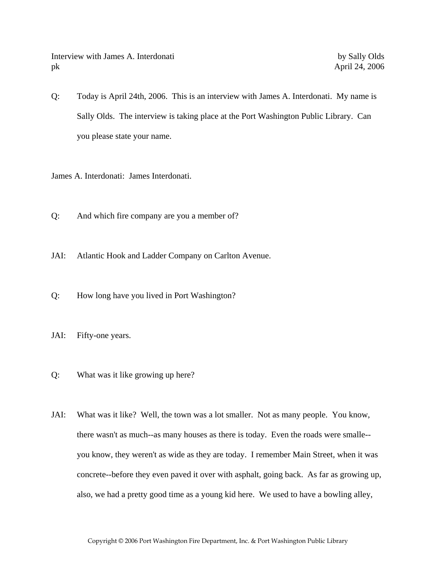Interview with James A. Interdonati by Sally Olds pk April 24, 2006

Q: Today is April 24th, 2006. This is an interview with James A. Interdonati. My name is Sally Olds. The interview is taking place at the Port Washington Public Library. Can you please state your name.

James A. Interdonati: James Interdonati.

- Q: And which fire company are you a member of?
- JAI: Atlantic Hook and Ladder Company on Carlton Avenue.
- Q: How long have you lived in Port Washington?
- JAI: Fifty-one years.
- Q: What was it like growing up here?
- JAI: What was it like? Well, the town was a lot smaller. Not as many people. You know, there wasn't as much--as many houses as there is today. Even the roads were smalle- you know, they weren't as wide as they are today. I remember Main Street, when it was concrete--before they even paved it over with asphalt, going back. As far as growing up, also, we had a pretty good time as a young kid here. We used to have a bowling alley,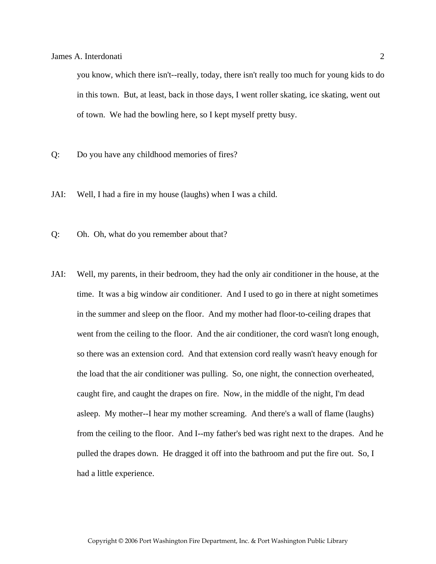you know, which there isn't--really, today, there isn't really too much for young kids to do in this town. But, at least, back in those days, I went roller skating, ice skating, went out of town. We had the bowling here, so I kept myself pretty busy.

- Q: Do you have any childhood memories of fires?
- JAI: Well, I had a fire in my house (laughs) when I was a child.
- Q: Oh. Oh, what do you remember about that?
- JAI: Well, my parents, in their bedroom, they had the only air conditioner in the house, at the time. It was a big window air conditioner. And I used to go in there at night sometimes in the summer and sleep on the floor. And my mother had floor-to-ceiling drapes that went from the ceiling to the floor. And the air conditioner, the cord wasn't long enough, so there was an extension cord. And that extension cord really wasn't heavy enough for the load that the air conditioner was pulling. So, one night, the connection overheated, caught fire, and caught the drapes on fire. Now, in the middle of the night, I'm dead asleep. My mother--I hear my mother screaming. And there's a wall of flame (laughs) from the ceiling to the floor. And I--my father's bed was right next to the drapes. And he pulled the drapes down. He dragged it off into the bathroom and put the fire out. So, I had a little experience.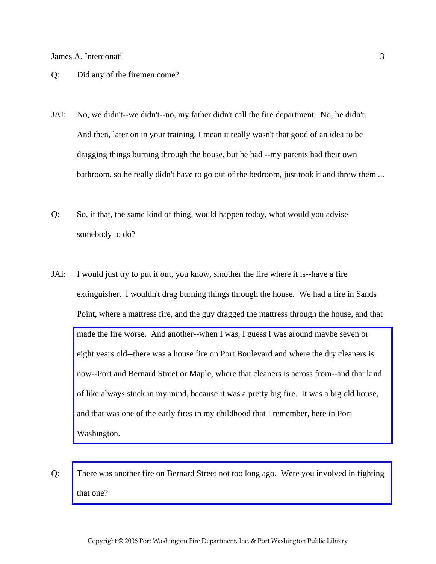#### Q: Did any of the firemen come?

- JAI: No, we didn't--we didn't--no, my father didn't call the fire department. No, he didn't. And then, later on in your training, I mean it really wasn't that good of an idea to be dragging things burning through the house, but he had --my parents had their own bathroom, so he really didn't have to go out of the bedroom, just took it and threw them ...
- Q: So, if that, the same kind of thing, would happen today, what would you advise somebody to do?
- JAI: I would just try to put it out, you know, smother the fire where it is--have a fire extinguisher. I wouldn't drag burning things through the house. We had a fire in Sands Point, where a mattress fire, and the guy dragged the mattress through the house, and that made the fire worse. And another--when I was, I guess I was around maybe seven or eight years old--there was a house fire on Port Boulevard and where the dry cleaners is [now--Port and Bernard Street or Maple, where that cleaners is across from--and that kind](http://www.pwfdhistory.com/trans/interdonatij_trans/pwfd_news047.pdf)  of like always stuck in my mind, because it was a pretty big fire. It was a big old house, and that was one of the early fires in my childhood that I remember, here in Port Washington.
- Q: [There was another fire on Bernard Street not too long ago. Were you involved in fighting](http://www.pwfdhistory.com/trans/interdonatij_trans/news_bernardst04_960208_hw.pdf)  that one?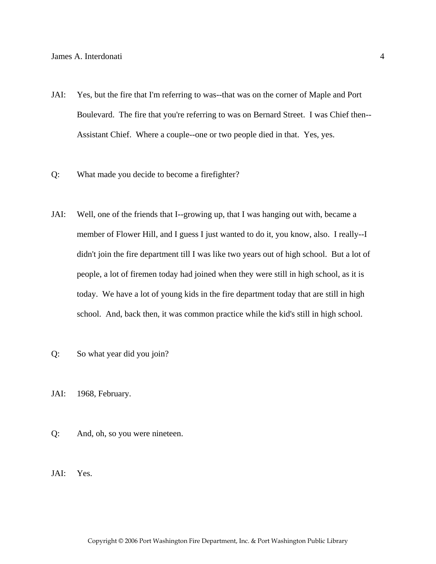- JAI: Yes, but the fire that I'm referring to was--that was on the corner of Maple and Port Boulevard. The fire that you're referring to was on Bernard Street. I was Chief then-- Assistant Chief. Where a couple--one or two people died in that. Yes, yes.
- Q: What made you decide to become a firefighter?
- JAI: Well, one of the friends that I--growing up, that I was hanging out with, became a member of Flower Hill, and I guess I just wanted to do it, you know, also. I really--I didn't join the fire department till I was like two years out of high school. But a lot of people, a lot of firemen today had joined when they were still in high school, as it is today. We have a lot of young kids in the fire department today that are still in high school. And, back then, it was common practice while the kid's still in high school.
- Q: So what year did you join?
- JAI: 1968, February.
- Q: And, oh, so you were nineteen.
- JAI: Yes.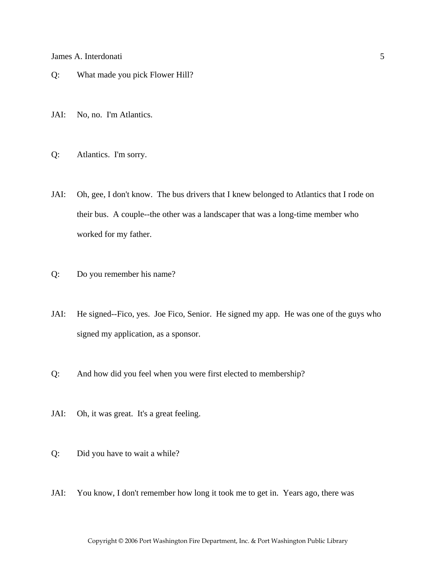- Q: What made you pick Flower Hill?
- JAI: No, no. I'm Atlantics.
- Q: Atlantics. I'm sorry.
- JAI: Oh, gee, I don't know. The bus drivers that I knew belonged to Atlantics that I rode on their bus. A couple--the other was a landscaper that was a long-time member who worked for my father.
- Q: Do you remember his name?
- JAI: He signed--Fico, yes. Joe Fico, Senior. He signed my app. He was one of the guys who signed my application, as a sponsor.
- Q: And how did you feel when you were first elected to membership?
- JAI: Oh, it was great. It's a great feeling.
- Q: Did you have to wait a while?
- JAI: You know, I don't remember how long it took me to get in. Years ago, there was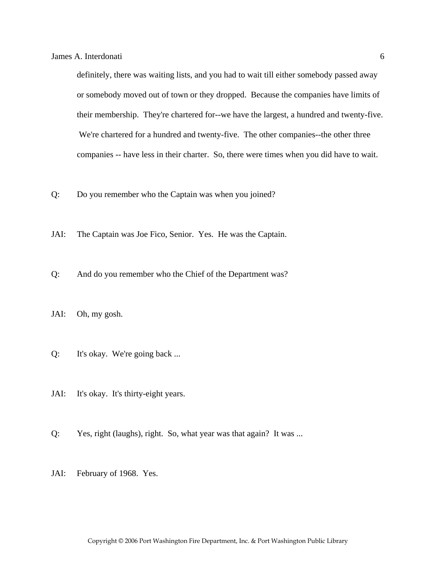definitely, there was waiting lists, and you had to wait till either somebody passed away or somebody moved out of town or they dropped. Because the companies have limits of their membership. They're chartered for--we have the largest, a hundred and twenty-five. We're chartered for a hundred and twenty-five. The other companies--the other three companies -- have less in their charter. So, there were times when you did have to wait.

Q: Do you remember who the Captain was when you joined?

- JAI: The Captain was Joe Fico, Senior. Yes. He was the Captain.
- Q: And do you remember who the Chief of the Department was?
- JAI: Oh, my gosh.
- Q: It's okay. We're going back ...
- JAI: It's okay. It's thirty-eight years.
- Q: Yes, right (laughs), right. So, what year was that again? It was ...
- JAI: February of 1968. Yes.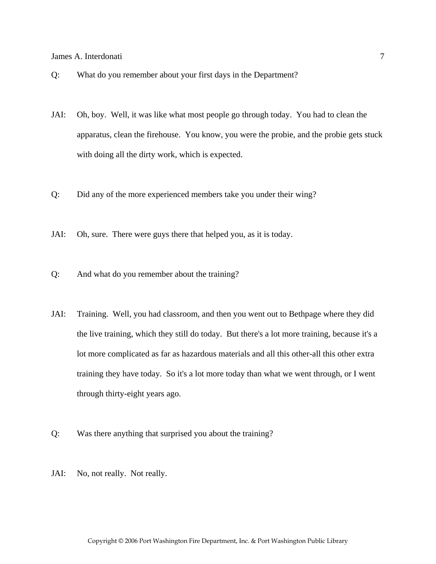- Q: What do you remember about your first days in the Department?
- JAI: Oh, boy. Well, it was like what most people go through today. You had to clean the apparatus, clean the firehouse. You know, you were the probie, and the probie gets stuck with doing all the dirty work, which is expected.
- Q: Did any of the more experienced members take you under their wing?
- JAI: Oh, sure. There were guys there that helped you, as it is today.
- Q: And what do you remember about the training?
- JAI: Training. Well, you had classroom, and then you went out to Bethpage where they did the live training, which they still do today. But there's a lot more training, because it's a lot more complicated as far as hazardous materials and all this other-all this other extra training they have today. So it's a lot more today than what we went through, or I went through thirty-eight years ago.
- Q: Was there anything that surprised you about the training?
- JAI: No, not really. Not really.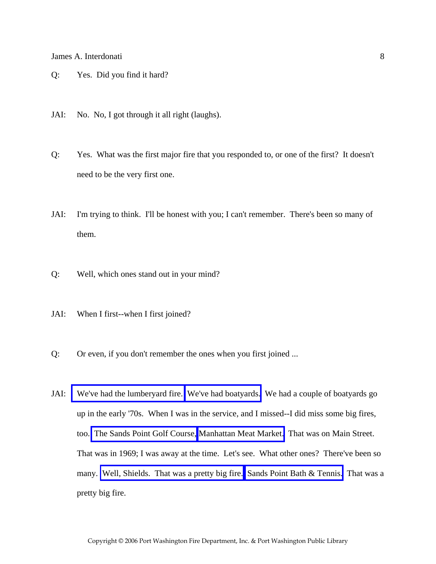- Q: Yes. Did you find it hard?
- JAI: No. No, I got through it all right (laughs).
- Q: Yes. What was the first major fire that you responded to, or one of the first? It doesn't need to be the very first one.
- JAI: I'm trying to think. I'll be honest with you; I can't remember. There's been so many of them.
- Q: Well, which ones stand out in your mind?
- JAI: When I first--when I first joined?
- Q: Or even, if you don't remember the ones when you first joined ...
- JAI: [We've had the lumberyard fire.](http://www.pwfdhistory.com/trans/interdonatij_trans/peco_fires034_web.jpg) [We've had boatyards.](http://www.pwfdhistory.com/trans/interdonatij_trans/fhh_fires004a.jpg) We had a couple of boatyards go up in the early '70s. When I was in the service, and I missed--I did miss some big fires, too. [The Sands Point Golf Course,](http://www.pwfdhistory.com/trans/interdonatij_trans/pwfd_news048_web.jpg) [Manhattan Meat Market.](http://www.pwfdhistory.com/trans/interdonatij_trans/pwfd_news046_web.jpg) That was on Main Street. That was in 1969; I was away at the time. Let's see. What other ones? There've been so many. [Well, Shields. That was a pretty big fire.](http://www.pwfdhistory.com/trans/interdonatij_trans/nday900131_pz_web.jpg) [Sands Point Bath & Tennis.](http://www.pwfdhistory.com/trans/interdonatij_trans/nday860319_pz_web.pdf) That was a pretty big fire.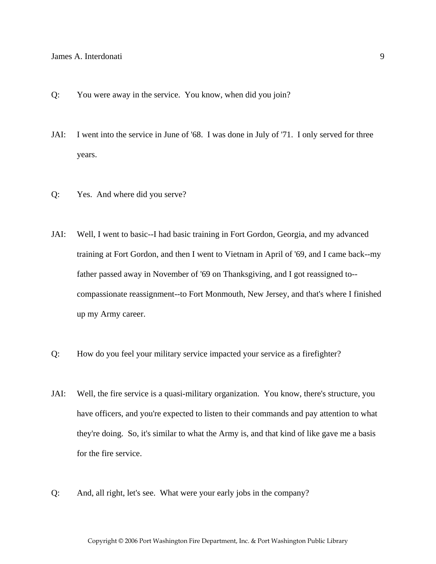- Q: You were away in the service. You know, when did you join?
- JAI: I went into the service in June of '68. I was done in July of '71. I only served for three years.
- Q: Yes. And where did you serve?
- JAI: Well, I went to basic--I had basic training in Fort Gordon, Georgia, and my advanced training at Fort Gordon, and then I went to Vietnam in April of '69, and I came back--my father passed away in November of '69 on Thanksgiving, and I got reassigned to- compassionate reassignment--to Fort Monmouth, New Jersey, and that's where I finished up my Army career.
- Q: How do you feel your military service impacted your service as a firefighter?
- JAI: Well, the fire service is a quasi-military organization. You know, there's structure, you have officers, and you're expected to listen to their commands and pay attention to what they're doing. So, it's similar to what the Army is, and that kind of like gave me a basis for the fire service.
- Q: And, all right, let's see. What were your early jobs in the company?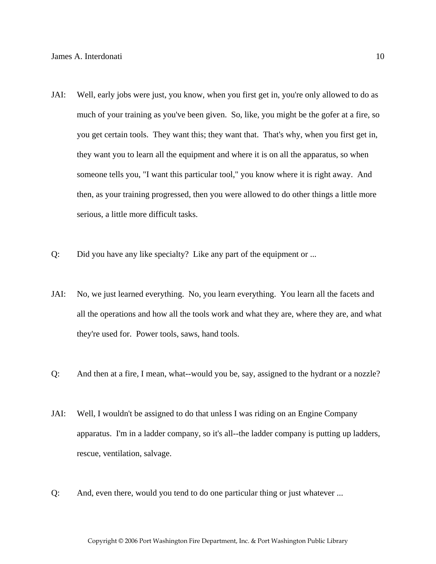- JAI: Well, early jobs were just, you know, when you first get in, you're only allowed to do as much of your training as you've been given. So, like, you might be the gofer at a fire, so you get certain tools. They want this; they want that. That's why, when you first get in, they want you to learn all the equipment and where it is on all the apparatus, so when someone tells you, "I want this particular tool," you know where it is right away. And then, as your training progressed, then you were allowed to do other things a little more serious, a little more difficult tasks.
- Q: Did you have any like specialty? Like any part of the equipment or ...
- JAI: No, we just learned everything. No, you learn everything. You learn all the facets and all the operations and how all the tools work and what they are, where they are, and what they're used for. Power tools, saws, hand tools.
- Q: And then at a fire, I mean, what--would you be, say, assigned to the hydrant or a nozzle?
- JAI: Well, I wouldn't be assigned to do that unless I was riding on an Engine Company apparatus. I'm in a ladder company, so it's all--the ladder company is putting up ladders, rescue, ventilation, salvage.
- Q: And, even there, would you tend to do one particular thing or just whatever ...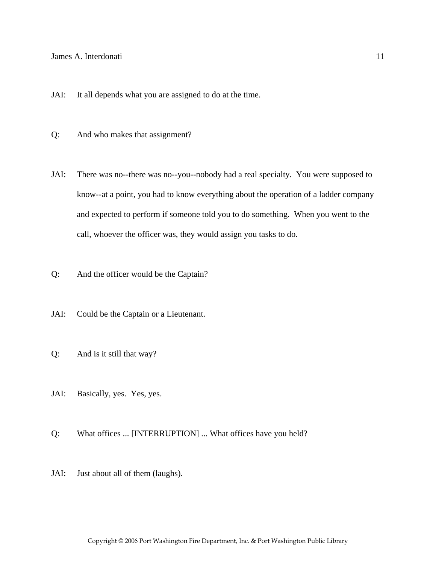#### James A. Interdonati and the set of the set of the set of the set of the set of the set of the set of the set of the set of the set of the set of the set of the set of the set of the set of the set of the set of the set of

- JAI: It all depends what you are assigned to do at the time.
- Q: And who makes that assignment?
- JAI: There was no--there was no--you--nobody had a real specialty. You were supposed to know--at a point, you had to know everything about the operation of a ladder company and expected to perform if someone told you to do something. When you went to the call, whoever the officer was, they would assign you tasks to do.
- Q: And the officer would be the Captain?
- JAI: Could be the Captain or a Lieutenant.
- Q: And is it still that way?
- JAI: Basically, yes. Yes, yes.
- Q: What offices ... [INTERRUPTION] ... What offices have you held?
- JAI: Just about all of them (laughs).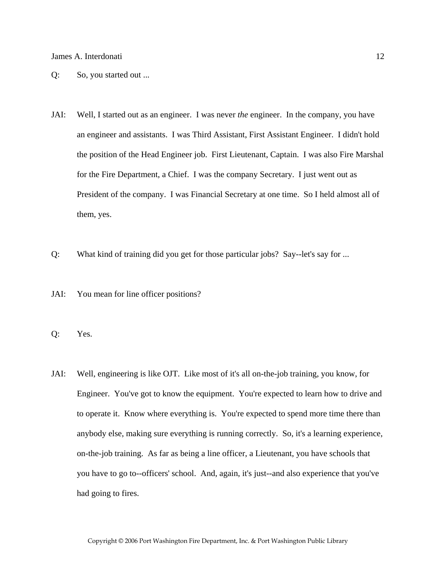- Q: So, you started out ...
- JAI: Well, I started out as an engineer. I was never *the* engineer. In the company, you have an engineer and assistants. I was Third Assistant, First Assistant Engineer. I didn't hold the position of the Head Engineer job. First Lieutenant, Captain. I was also Fire Marshal for the Fire Department, a Chief. I was the company Secretary. I just went out as President of the company. I was Financial Secretary at one time. So I held almost all of them, yes.
- Q: What kind of training did you get for those particular jobs? Say--let's say for ...
- JAI: You mean for line officer positions?
- Q: Yes.
- JAI: Well, engineering is like OJT. Like most of it's all on-the-job training, you know, for Engineer. You've got to know the equipment. You're expected to learn how to drive and to operate it. Know where everything is. You're expected to spend more time there than anybody else, making sure everything is running correctly. So, it's a learning experience, on-the-job training. As far as being a line officer, a Lieutenant, you have schools that you have to go to--officers' school. And, again, it's just--and also experience that you've had going to fires.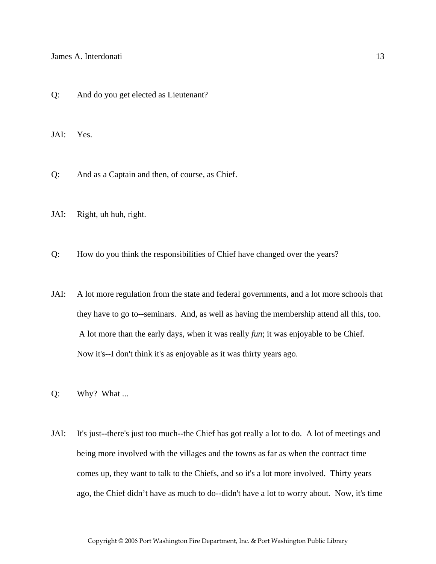Q: And do you get elected as Lieutenant?

JAI: Yes.

Q: And as a Captain and then, of course, as Chief.

- JAI: Right, uh huh, right.
- Q: How do you think the responsibilities of Chief have changed over the years?
- JAI: A lot more regulation from the state and federal governments, and a lot more schools that they have to go to--seminars. And, as well as having the membership attend all this, too. A lot more than the early days, when it was really *fun*; it was enjoyable to be Chief. Now it's--I don't think it's as enjoyable as it was thirty years ago.
- Q: Why? What ...
- JAI: It's just--there's just too much--the Chief has got really a lot to do. A lot of meetings and being more involved with the villages and the towns as far as when the contract time comes up, they want to talk to the Chiefs, and so it's a lot more involved. Thirty years ago, the Chief didn't have as much to do--didn't have a lot to worry about. Now, it's time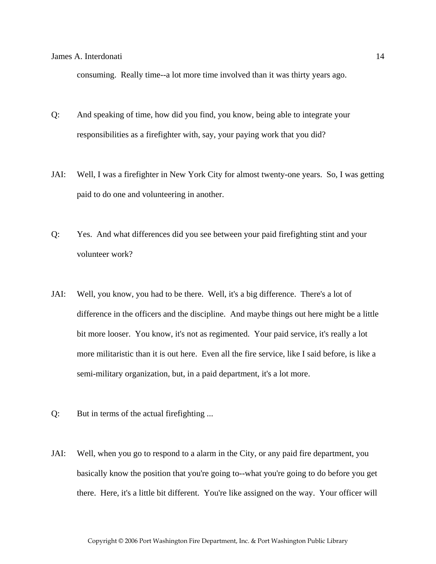consuming. Really time--a lot more time involved than it was thirty years ago.

- Q: And speaking of time, how did you find, you know, being able to integrate your responsibilities as a firefighter with, say, your paying work that you did?
- JAI: Well, I was a firefighter in New York City for almost twenty-one years. So, I was getting paid to do one and volunteering in another.
- Q: Yes. And what differences did you see between your paid firefighting stint and your volunteer work?
- JAI: Well, you know, you had to be there. Well, it's a big difference. There's a lot of difference in the officers and the discipline. And maybe things out here might be a little bit more looser. You know, it's not as regimented. Your paid service, it's really a lot more militaristic than it is out here. Even all the fire service, like I said before, is like a semi-military organization, but, in a paid department, it's a lot more.
- Q: But in terms of the actual firefighting ...
- JAI: Well, when you go to respond to a alarm in the City, or any paid fire department, you basically know the position that you're going to--what you're going to do before you get there. Here, it's a little bit different. You're like assigned on the way. Your officer will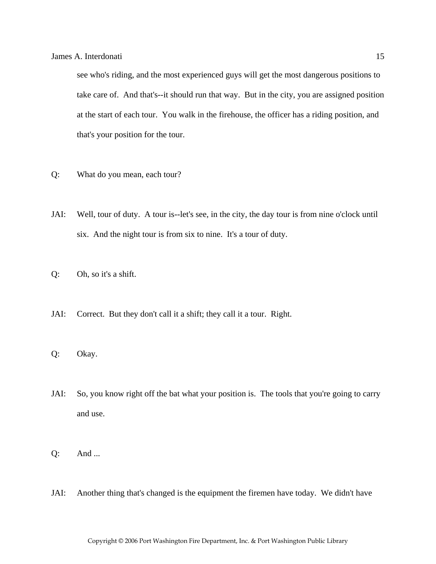see who's riding, and the most experienced guys will get the most dangerous positions to take care of. And that's--it should run that way. But in the city, you are assigned position at the start of each tour. You walk in the firehouse, the officer has a riding position, and that's your position for the tour.

- Q: What do you mean, each tour?
- JAI: Well, tour of duty. A tour is--let's see, in the city, the day tour is from nine o'clock until six. And the night tour is from six to nine. It's a tour of duty.
- Q: Oh, so it's a shift.
- JAI: Correct. But they don't call it a shift; they call it a tour. Right.
- Q: Okay.
- JAI: So, you know right off the bat what your position is. The tools that you're going to carry and use.
- Q: And ...
- JAI: Another thing that's changed is the equipment the firemen have today. We didn't have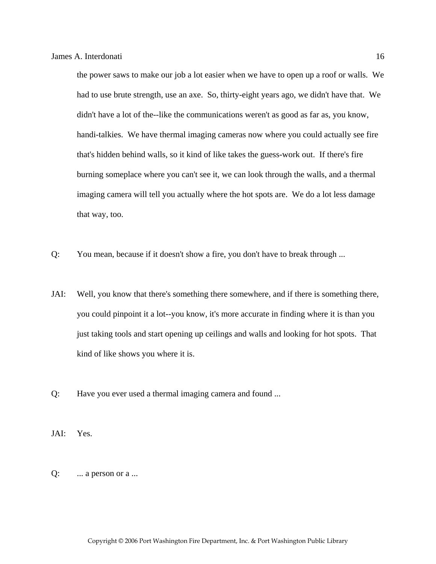the power saws to make our job a lot easier when we have to open up a roof or walls. We had to use brute strength, use an axe. So, thirty-eight years ago, we didn't have that. We didn't have a lot of the--like the communications weren't as good as far as, you know, handi-talkies. We have thermal imaging cameras now where you could actually see fire that's hidden behind walls, so it kind of like takes the guess-work out. If there's fire burning someplace where you can't see it, we can look through the walls, and a thermal imaging camera will tell you actually where the hot spots are. We do a lot less damage that way, too.

- Q: You mean, because if it doesn't show a fire, you don't have to break through ...
- JAI: Well, you know that there's something there somewhere, and if there is something there, you could pinpoint it a lot--you know, it's more accurate in finding where it is than you just taking tools and start opening up ceilings and walls and looking for hot spots. That kind of like shows you where it is.
- Q: Have you ever used a thermal imaging camera and found ...

JAI: Yes.

 $Q:$  ... a person or a ...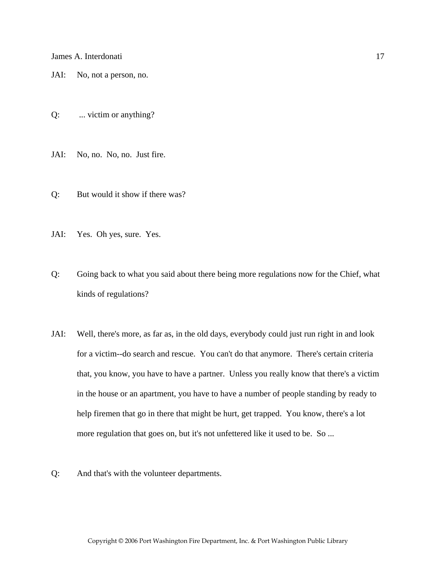JAI: No, not a person, no.

Q: ... victim or anything?

JAI: No, no. No, no. Just fire.

- Q: But would it show if there was?
- JAI: Yes. Oh yes, sure. Yes.
- Q: Going back to what you said about there being more regulations now for the Chief, what kinds of regulations?
- JAI: Well, there's more, as far as, in the old days, everybody could just run right in and look for a victim--do search and rescue. You can't do that anymore. There's certain criteria that, you know, you have to have a partner. Unless you really know that there's a victim in the house or an apartment, you have to have a number of people standing by ready to help firemen that go in there that might be hurt, get trapped. You know, there's a lot more regulation that goes on, but it's not unfettered like it used to be. So ...
- Q: And that's with the volunteer departments.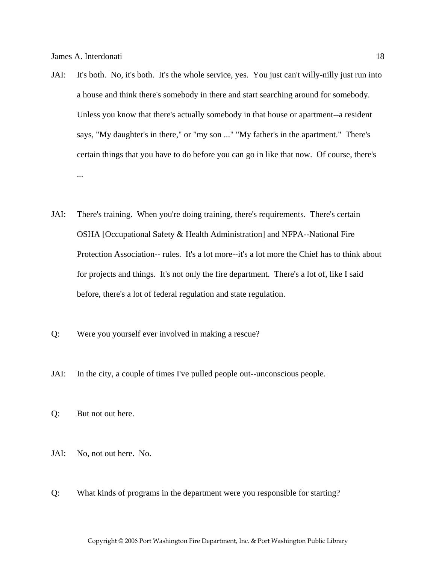- JAI: It's both. No, it's both. It's the whole service, yes. You just can't willy-nilly just run into a house and think there's somebody in there and start searching around for somebody. Unless you know that there's actually somebody in that house or apartment--a resident says, "My daughter's in there," or "my son ..." "My father's in the apartment." There's certain things that you have to do before you can go in like that now. Of course, there's ...
- JAI: There's training. When you're doing training, there's requirements. There's certain OSHA [Occupational Safety & Health Administration] and NFPA--National Fire Protection Association-- rules. It's a lot more--it's a lot more the Chief has to think about for projects and things. It's not only the fire department. There's a lot of, like I said before, there's a lot of federal regulation and state regulation.
- Q: Were you yourself ever involved in making a rescue?
- JAI: In the city, a couple of times I've pulled people out--unconscious people.
- Q: But not out here.
- JAI: No, not out here. No.
- Q: What kinds of programs in the department were you responsible for starting?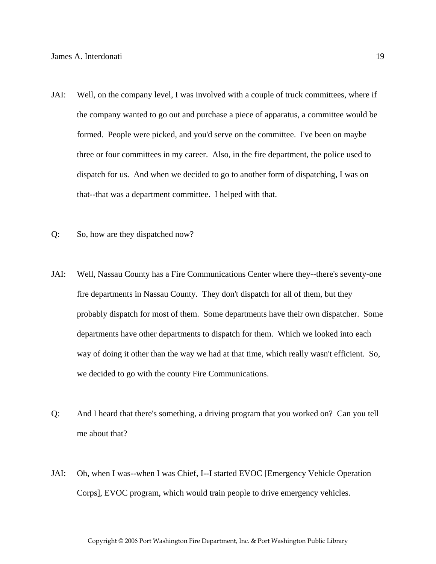- JAI: Well, on the company level, I was involved with a couple of truck committees, where if the company wanted to go out and purchase a piece of apparatus, a committee would be formed. People were picked, and you'd serve on the committee. I've been on maybe three or four committees in my career. Also, in the fire department, the police used to dispatch for us. And when we decided to go to another form of dispatching, I was on that--that was a department committee. I helped with that.
- Q: So, how are they dispatched now?
- JAI: Well, Nassau County has a Fire Communications Center where they--there's seventy-one fire departments in Nassau County. They don't dispatch for all of them, but they probably dispatch for most of them. Some departments have their own dispatcher. Some departments have other departments to dispatch for them. Which we looked into each way of doing it other than the way we had at that time, which really wasn't efficient. So, we decided to go with the county Fire Communications.
- Q: And I heard that there's something, a driving program that you worked on? Can you tell me about that?
- JAI: Oh, when I was--when I was Chief, I--I started EVOC [Emergency Vehicle Operation Corps], EVOC program, which would train people to drive emergency vehicles.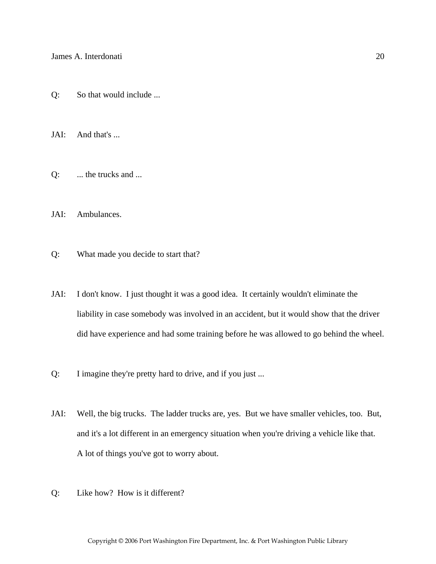Q: So that would include ...

JAI: And that's ...

Q: ... the trucks and ...

JAI: Ambulances.

Q: What made you decide to start that?

- JAI: I don't know. I just thought it was a good idea. It certainly wouldn't eliminate the liability in case somebody was involved in an accident, but it would show that the driver did have experience and had some training before he was allowed to go behind the wheel.
- Q: I imagine they're pretty hard to drive, and if you just ...
- JAI: Well, the big trucks. The ladder trucks are, yes. But we have smaller vehicles, too. But, and it's a lot different in an emergency situation when you're driving a vehicle like that. A lot of things you've got to worry about.
- Q: Like how? How is it different?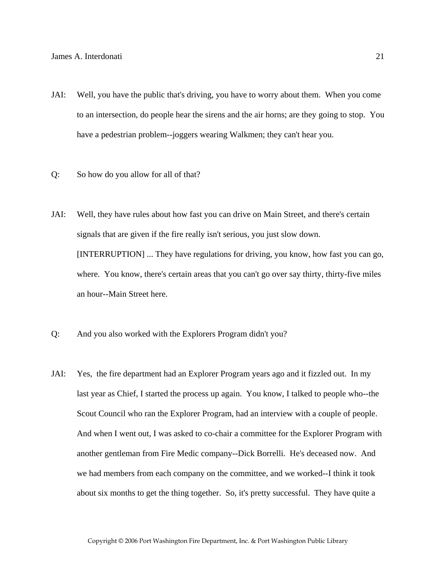- JAI: Well, you have the public that's driving, you have to worry about them. When you come to an intersection, do people hear the sirens and the air horns; are they going to stop. You have a pedestrian problem--joggers wearing Walkmen; they can't hear you.
- Q: So how do you allow for all of that?
- JAI: Well, they have rules about how fast you can drive on Main Street, and there's certain signals that are given if the fire really isn't serious, you just slow down. [INTERRUPTION] ... They have regulations for driving, you know, how fast you can go, where. You know, there's certain areas that you can't go over say thirty, thirty-five miles an hour--Main Street here.
- Q: And you also worked with the Explorers Program didn't you?
- JAI: Yes, the fire department had an Explorer Program years ago and it fizzled out. In my last year as Chief, I started the process up again. You know, I talked to people who--the Scout Council who ran the Explorer Program, had an interview with a couple of people. And when I went out, I was asked to co-chair a committee for the Explorer Program with another gentleman from Fire Medic company--Dick Borrelli. He's deceased now. And we had members from each company on the committee, and we worked--I think it took about six months to get the thing together. So, it's pretty successful. They have quite a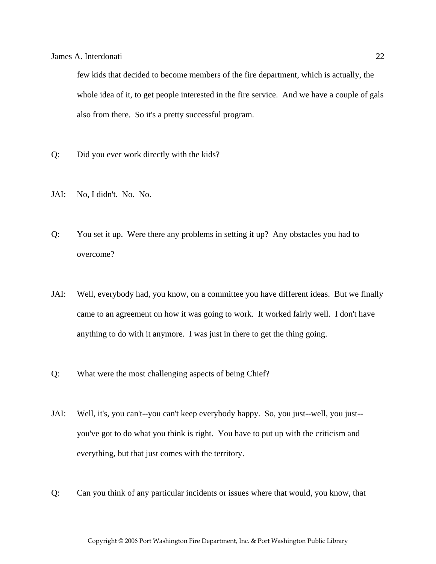few kids that decided to become members of the fire department, which is actually, the whole idea of it, to get people interested in the fire service. And we have a couple of gals also from there. So it's a pretty successful program.

- Q: Did you ever work directly with the kids?
- JAI: No, I didn't. No. No.
- Q: You set it up. Were there any problems in setting it up? Any obstacles you had to overcome?
- JAI: Well, everybody had, you know, on a committee you have different ideas. But we finally came to an agreement on how it was going to work. It worked fairly well. I don't have anything to do with it anymore. I was just in there to get the thing going.
- Q: What were the most challenging aspects of being Chief?
- JAI: Well, it's, you can't--you can't keep everybody happy. So, you just--well, you just- you've got to do what you think is right. You have to put up with the criticism and everything, but that just comes with the territory.
- Q: Can you think of any particular incidents or issues where that would, you know, that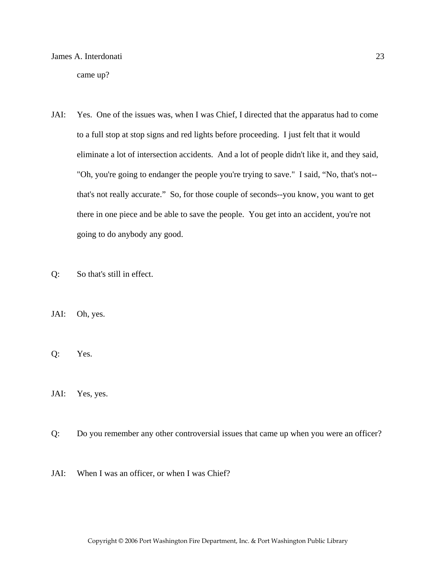came up?

- JAI: Yes. One of the issues was, when I was Chief, I directed that the apparatus had to come to a full stop at stop signs and red lights before proceeding. I just felt that it would eliminate a lot of intersection accidents. And a lot of people didn't like it, and they said, "Oh, you're going to endanger the people you're trying to save." I said, "No, that's not- that's not really accurate." So, for those couple of seconds--you know, you want to get there in one piece and be able to save the people. You get into an accident, you're not going to do anybody any good.
- Q: So that's still in effect.
- JAI: Oh, yes.
- Q: Yes.
- JAI: Yes, yes.
- Q: Do you remember any other controversial issues that came up when you were an officer?
- JAI: When I was an officer, or when I was Chief?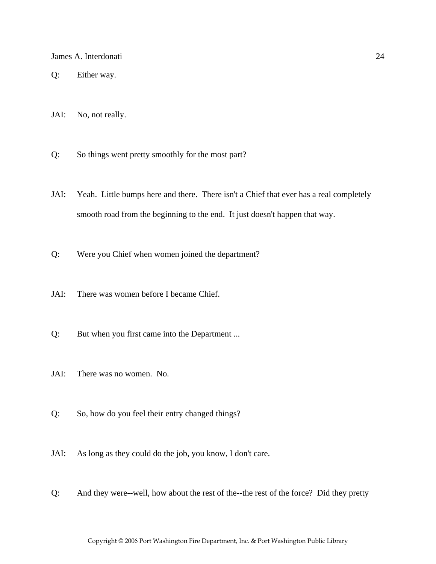- Q: Either way.
- JAI: No, not really.
- Q: So things went pretty smoothly for the most part?
- JAI: Yeah. Little bumps here and there. There isn't a Chief that ever has a real completely smooth road from the beginning to the end. It just doesn't happen that way.
- Q: Were you Chief when women joined the department?
- JAI: There was women before I became Chief.
- Q: But when you first came into the Department ...
- JAI: There was no women. No.
- Q: So, how do you feel their entry changed things?
- JAI: As long as they could do the job, you know, I don't care.
- Q: And they were--well, how about the rest of the--the rest of the force? Did they pretty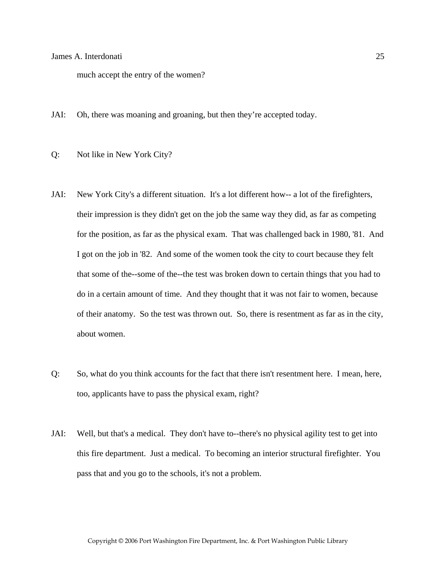much accept the entry of the women?

- JAI: Oh, there was moaning and groaning, but then they're accepted today.
- Q: Not like in New York City?
- JAI: New York City's a different situation. It's a lot different how-- a lot of the firefighters, their impression is they didn't get on the job the same way they did, as far as competing for the position, as far as the physical exam. That was challenged back in 1980, '81. And I got on the job in '82. And some of the women took the city to court because they felt that some of the--some of the--the test was broken down to certain things that you had to do in a certain amount of time. And they thought that it was not fair to women, because of their anatomy. So the test was thrown out. So, there is resentment as far as in the city, about women.
- Q: So, what do you think accounts for the fact that there isn't resentment here. I mean, here, too, applicants have to pass the physical exam, right?
- JAI: Well, but that's a medical. They don't have to--there's no physical agility test to get into this fire department. Just a medical. To becoming an interior structural firefighter. You pass that and you go to the schools, it's not a problem.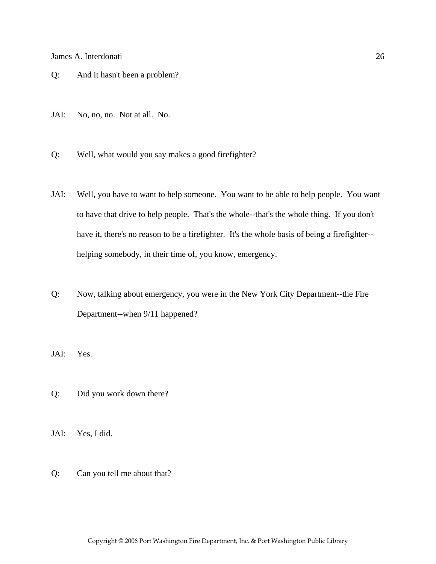- Q: And it hasn't been a problem?
- JAI: No, no, no. Not at all. No.
- Q: Well, what would you say makes a good firefighter?
- JAI: Well, you have to want to help someone. You want to be able to help people. You want to have that drive to help people. That's the whole--that's the whole thing. If you don't have it, there's no reason to be a firefighter. It's the whole basis of being a firefighter- helping somebody, in their time of, you know, emergency.
- Q: Now, talking about emergency, you were in the New York City Department--the Fire Department--when 9/11 happened?
- JAI: Yes.
- Q: Did you work down there?
- JAI: Yes, I did.
- Q: Can you tell me about that?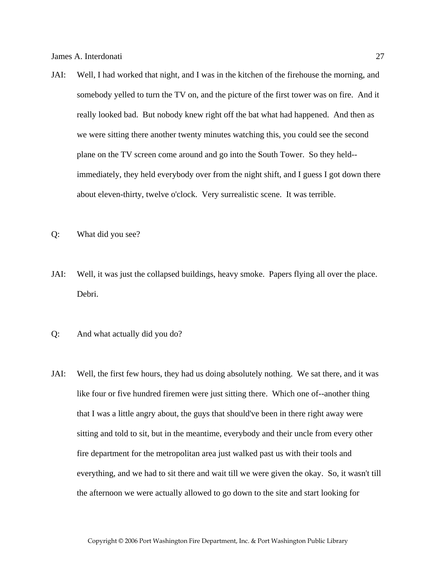- JAI: Well, I had worked that night, and I was in the kitchen of the firehouse the morning, and somebody yelled to turn the TV on, and the picture of the first tower was on fire. And it really looked bad. But nobody knew right off the bat what had happened. And then as we were sitting there another twenty minutes watching this, you could see the second plane on the TV screen come around and go into the South Tower. So they held- immediately, they held everybody over from the night shift, and I guess I got down there about eleven-thirty, twelve o'clock. Very surrealistic scene. It was terrible.
- Q: What did you see?
- JAI: Well, it was just the collapsed buildings, heavy smoke. Papers flying all over the place. Debri.
- Q: And what actually did you do?
- JAI: Well, the first few hours, they had us doing absolutely nothing. We sat there, and it was like four or five hundred firemen were just sitting there. Which one of--another thing that I was a little angry about, the guys that should've been in there right away were sitting and told to sit, but in the meantime, everybody and their uncle from every other fire department for the metropolitan area just walked past us with their tools and everything, and we had to sit there and wait till we were given the okay. So, it wasn't till the afternoon we were actually allowed to go down to the site and start looking for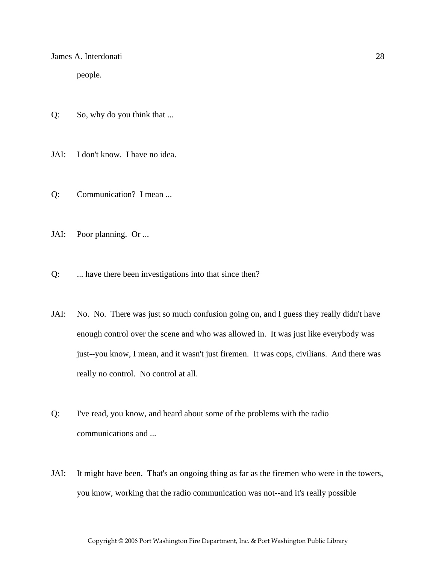people.

- Q: So, why do you think that ...
- JAI: I don't know. I have no idea.
- Q: Communication? I mean ...
- JAI: Poor planning. Or ...
- Q: ... have there been investigations into that since then?
- JAI: No. No. There was just so much confusion going on, and I guess they really didn't have enough control over the scene and who was allowed in. It was just like everybody was just--you know, I mean, and it wasn't just firemen. It was cops, civilians. And there was really no control. No control at all.
- Q: I've read, you know, and heard about some of the problems with the radio communications and ...
- JAI: It might have been. That's an ongoing thing as far as the firemen who were in the towers, you know, working that the radio communication was not--and it's really possible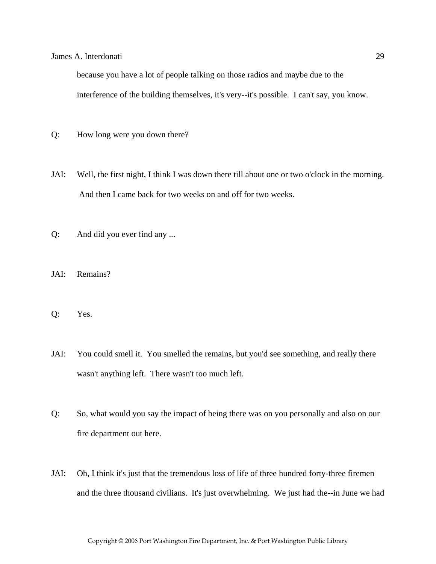because you have a lot of people talking on those radios and maybe due to the interference of the building themselves, it's very--it's possible. I can't say, you know.

- Q: How long were you down there?
- JAI: Well, the first night, I think I was down there till about one or two o'clock in the morning. And then I came back for two weeks on and off for two weeks.
- Q: And did you ever find any ...
- JAI: Remains?
- Q: Yes.
- JAI: You could smell it. You smelled the remains, but you'd see something, and really there wasn't anything left. There wasn't too much left.
- Q: So, what would you say the impact of being there was on you personally and also on our fire department out here.
- JAI: Oh, I think it's just that the tremendous loss of life of three hundred forty-three firemen and the three thousand civilians. It's just overwhelming. We just had the--in June we had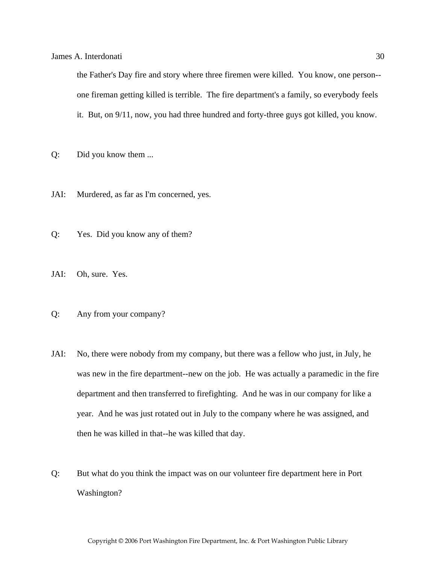the Father's Day fire and story where three firemen were killed. You know, one person- one fireman getting killed is terrible. The fire department's a family, so everybody feels it. But, on 9/11, now, you had three hundred and forty-three guys got killed, you know.

- Q: Did you know them ...
- JAI: Murdered, as far as I'm concerned, yes.
- Q: Yes. Did you know any of them?
- JAI: Oh, sure. Yes.
- Q: Any from your company?
- JAI: No, there were nobody from my company, but there was a fellow who just, in July, he was new in the fire department--new on the job. He was actually a paramedic in the fire department and then transferred to firefighting. And he was in our company for like a year. And he was just rotated out in July to the company where he was assigned, and then he was killed in that--he was killed that day.
- Q: But what do you think the impact was on our volunteer fire department here in Port Washington?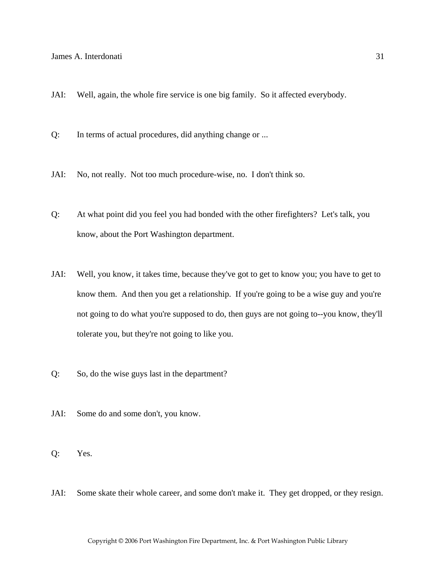- JAI: Well, again, the whole fire service is one big family. So it affected everybody.
- Q: In terms of actual procedures, did anything change or ...
- JAI: No, not really. Not too much procedure-wise, no. I don't think so.
- Q: At what point did you feel you had bonded with the other firefighters? Let's talk, you know, about the Port Washington department.
- JAI: Well, you know, it takes time, because they've got to get to know you; you have to get to know them. And then you get a relationship. If you're going to be a wise guy and you're not going to do what you're supposed to do, then guys are not going to--you know, they'll tolerate you, but they're not going to like you.
- Q: So, do the wise guys last in the department?
- JAI: Some do and some don't, you know.
- Q: Yes.
- JAI: Some skate their whole career, and some don't make it. They get dropped, or they resign.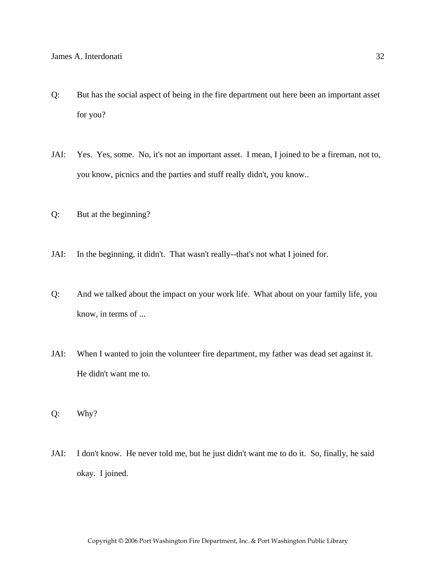- Q: But has the social aspect of being in the fire department out here been an important asset for you?
- JAI: Yes. Yes, some. No, it's not an important asset. I mean, I joined to be a fireman, not to, you know, picnics and the parties and stuff really didn't, you know..
- Q: But at the beginning?
- JAI: In the beginning, it didn't. That wasn't really--that's not what I joined for.
- Q: And we talked about the impact on your work life. What about on your family life, you know, in terms of ...
- JAI: When I wanted to join the volunteer fire department, my father was dead set against it. He didn't want me to.
- Q: Why?
- JAI: I don't know. He never told me, but he just didn't want me to do it. So, finally, he said okay. I joined.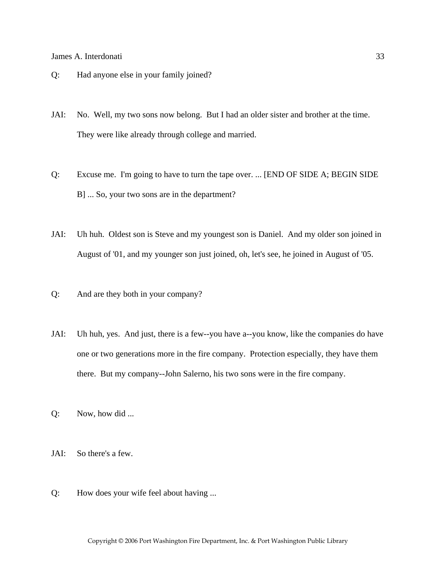- Q: Had anyone else in your family joined?
- JAI: No. Well, my two sons now belong. But I had an older sister and brother at the time. They were like already through college and married.
- Q: Excuse me. I'm going to have to turn the tape over. ... [END OF SIDE A; BEGIN SIDE B] ... So, your two sons are in the department?
- JAI: Uh huh. Oldest son is Steve and my youngest son is Daniel. And my older son joined in August of '01, and my younger son just joined, oh, let's see, he joined in August of '05.
- Q: And are they both in your company?
- JAI: Uh huh, yes. And just, there is a few--you have a--you know, like the companies do have one or two generations more in the fire company. Protection especially, they have them there. But my company--John Salerno, his two sons were in the fire company.
- Q: Now, how did ...
- JAI: So there's a few.
- Q: How does your wife feel about having ...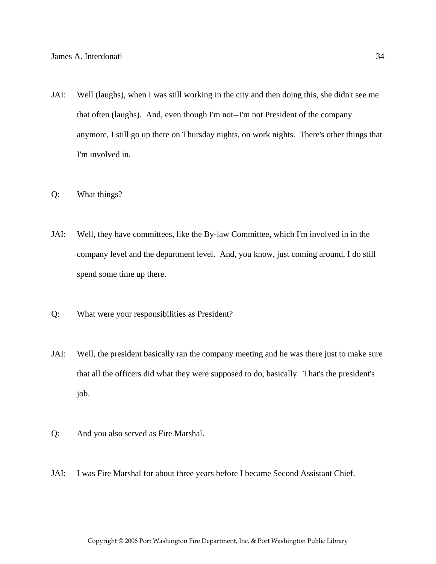- JAI: Well (laughs), when I was still working in the city and then doing this, she didn't see me that often (laughs). And, even though I'm not--I'm not President of the company anymore, I still go up there on Thursday nights, on work nights. There's other things that I'm involved in.
- Q: What things?
- JAI: Well, they have committees, like the By-law Committee, which I'm involved in in the company level and the department level. And, you know, just coming around, I do still spend some time up there.
- Q: What were your responsibilities as President?
- JAI: Well, the president basically ran the company meeting and he was there just to make sure that all the officers did what they were supposed to do, basically. That's the president's job.
- Q: And you also served as Fire Marshal.
- JAI: I was Fire Marshal for about three years before I became Second Assistant Chief.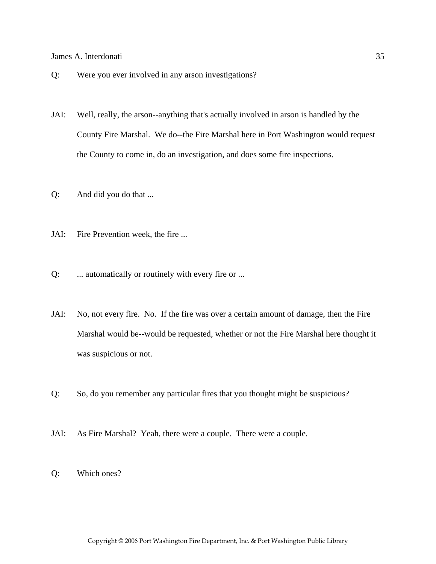- Q: Were you ever involved in any arson investigations?
- JAI: Well, really, the arson--anything that's actually involved in arson is handled by the County Fire Marshal. We do--the Fire Marshal here in Port Washington would request the County to come in, do an investigation, and does some fire inspections.
- Q: And did you do that ...
- JAI: Fire Prevention week, the fire ...
- Q: ... automatically or routinely with every fire or ...
- JAI: No, not every fire. No. If the fire was over a certain amount of damage, then the Fire Marshal would be--would be requested, whether or not the Fire Marshal here thought it was suspicious or not.
- Q: So, do you remember any particular fires that you thought might be suspicious?
- JAI: As Fire Marshal? Yeah, there were a couple. There were a couple.
- Q: Which ones?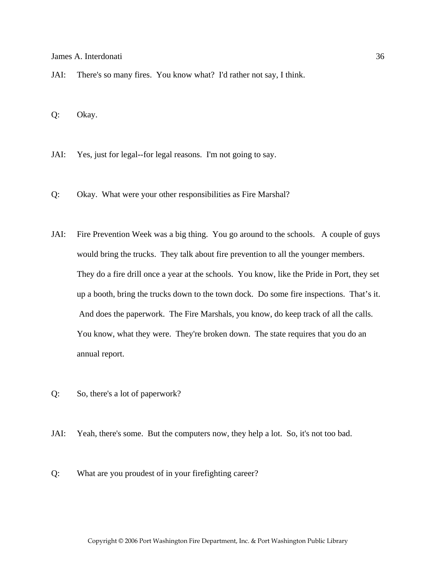JAI: There's so many fires. You know what? I'd rather not say, I think.

Q: Okay.

- JAI: Yes, just for legal--for legal reasons. I'm not going to say.
- Q: Okay. What were your other responsibilities as Fire Marshal?
- JAI: Fire Prevention Week was a big thing. You go around to the schools. A couple of guys would bring the trucks. They talk about fire prevention to all the younger members. They do a fire drill once a year at the schools. You know, like the Pride in Port, they set up a booth, bring the trucks down to the town dock. Do some fire inspections. That's it. And does the paperwork. The Fire Marshals, you know, do keep track of all the calls. You know, what they were. They're broken down. The state requires that you do an annual report.
- Q: So, there's a lot of paperwork?
- JAI: Yeah, there's some. But the computers now, they help a lot. So, it's not too bad.
- Q: What are you proudest of in your firefighting career?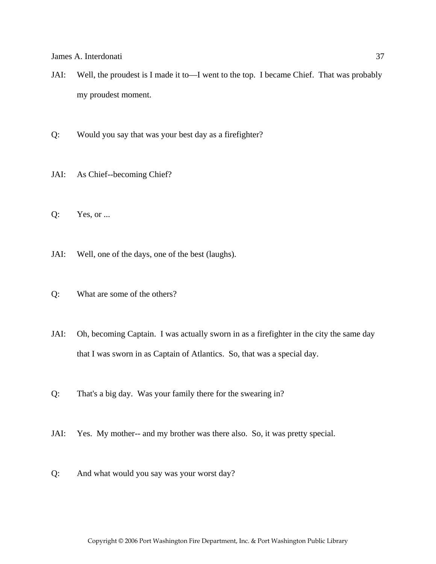- JAI: Well, the proudest is I made it to—I went to the top. I became Chief. That was probably my proudest moment.
- Q: Would you say that was your best day as a firefighter?
- JAI: As Chief--becoming Chief?
- Q: Yes, or ...
- JAI: Well, one of the days, one of the best (laughs).
- Q: What are some of the others?
- JAI: Oh, becoming Captain. I was actually sworn in as a firefighter in the city the same day that I was sworn in as Captain of Atlantics. So, that was a special day.
- Q: That's a big day. Was your family there for the swearing in?
- JAI: Yes. My mother-- and my brother was there also. So, it was pretty special.
- Q: And what would you say was your worst day?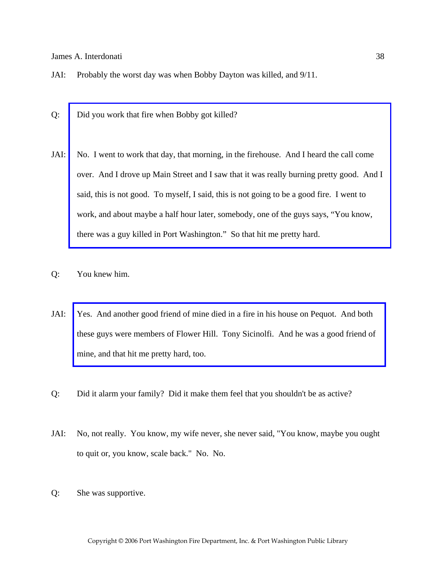- JAI: Probably the worst day was when Bobby Dayton was killed, and 9/11.
- Q: Did you work that fire when Bobby got killed?
- JAI: No. I went to work that day, that morning, in the firehouse. And I heard the call come [over. And I drove up Main Street and I saw that it was really burning pretty good. And I](http://www.pwfdhistory.com/trans/interdonatij_trans/pnews881201_pz_web.pdf)  said, this is not good. To myself, I said, this is not going to be a good fire. I went to work, and about maybe a half hour later, somebody, one of the guys says, "You know, there was a guy killed in Port Washington." So that hit me pretty hard.
- Q: You knew him.
- JAI: [Yes. And another good friend of mine died in a fire in his house on Pequot. And both](http://www.pwfdhistory.com/trans/interdonatij_trans/pnews921112_pz_web.jpg)  these guys were members of Flower Hill. Tony Sicinolfi. And he was a good friend of mine, and that hit me pretty hard, too.
- Q: Did it alarm your family? Did it make them feel that you shouldn't be as active?
- JAI: No, not really. You know, my wife never, she never said, "You know, maybe you ought to quit or, you know, scale back." No. No.
- Q: She was supportive.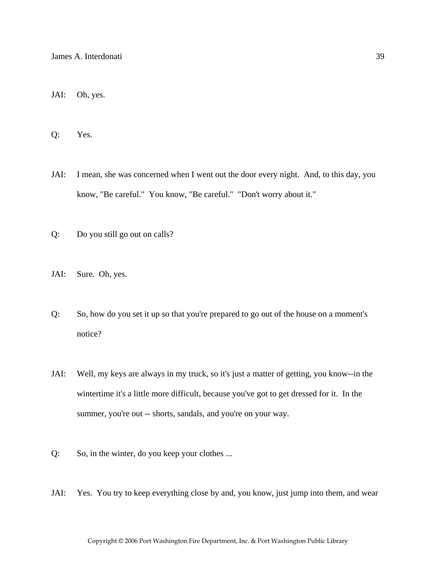JAI: Oh, yes.

Q: Yes.

- JAI: I mean, she was concerned when I went out the door every night. And, to this day, you know, "Be careful." You know, "Be careful." "Don't worry about it."
- Q: Do you still go out on calls?
- JAI: Sure. Oh, yes.
- Q: So, how do you set it up so that you're prepared to go out of the house on a moment's notice?
- JAI: Well, my keys are always in my truck, so it's just a matter of getting, you know--in the wintertime it's a little more difficult, because you've got to get dressed for it. In the summer, you're out -- shorts, sandals, and you're on your way.
- Q: So, in the winter, do you keep your clothes ...
- JAI: Yes. You try to keep everything close by and, you know, just jump into them, and wear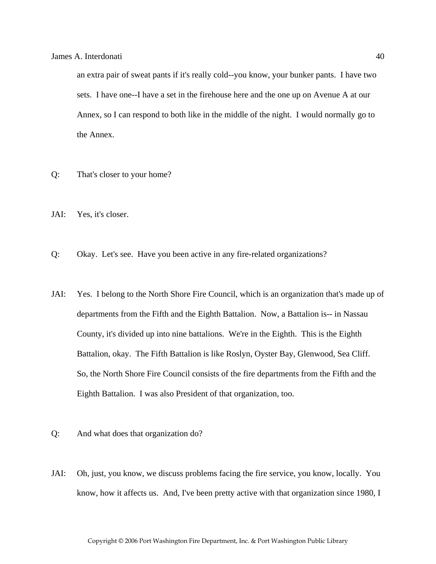an extra pair of sweat pants if it's really cold--you know, your bunker pants. I have two sets. I have one--I have a set in the firehouse here and the one up on Avenue A at our Annex, so I can respond to both like in the middle of the night. I would normally go to the Annex.

- Q: That's closer to your home?
- JAI: Yes, it's closer.
- Q: Okay. Let's see. Have you been active in any fire-related organizations?
- JAI: Yes. I belong to the North Shore Fire Council, which is an organization that's made up of departments from the Fifth and the Eighth Battalion. Now, a Battalion is-- in Nassau County, it's divided up into nine battalions. We're in the Eighth. This is the Eighth Battalion, okay. The Fifth Battalion is like Roslyn, Oyster Bay, Glenwood, Sea Cliff. So, the North Shore Fire Council consists of the fire departments from the Fifth and the Eighth Battalion. I was also President of that organization, too.
- Q: And what does that organization do?
- JAI: Oh, just, you know, we discuss problems facing the fire service, you know, locally. You know, how it affects us. And, I've been pretty active with that organization since 1980, I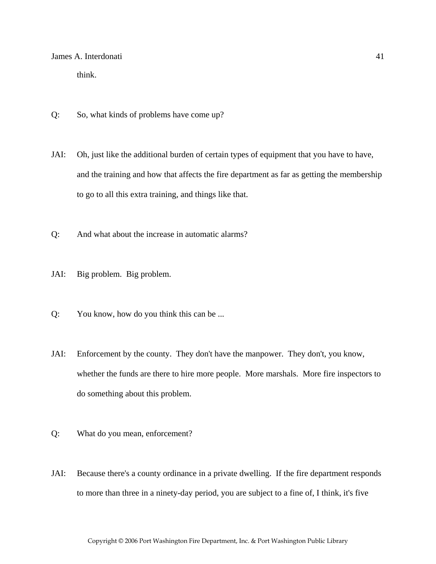think.

- Q: So, what kinds of problems have come up?
- JAI: Oh, just like the additional burden of certain types of equipment that you have to have, and the training and how that affects the fire department as far as getting the membership to go to all this extra training, and things like that.
- Q: And what about the increase in automatic alarms?
- JAI: Big problem. Big problem.
- Q: You know, how do you think this can be ...
- JAI: Enforcement by the county. They don't have the manpower. They don't, you know, whether the funds are there to hire more people. More marshals. More fire inspectors to do something about this problem.
- Q: What do you mean, enforcement?
- JAI: Because there's a county ordinance in a private dwelling. If the fire department responds to more than three in a ninety-day period, you are subject to a fine of, I think, it's five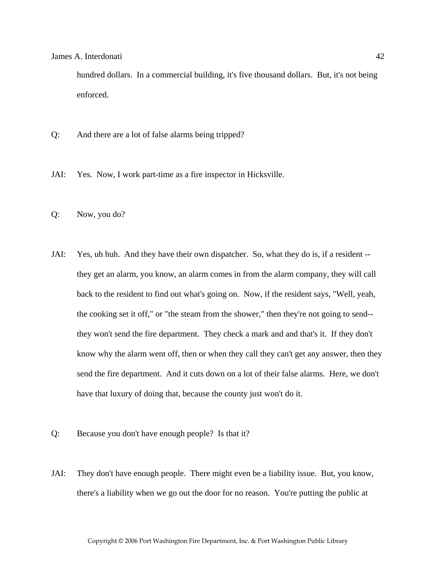hundred dollars. In a commercial building, it's five thousand dollars. But, it's not being enforced.

- Q: And there are a lot of false alarms being tripped?
- JAI: Yes. Now, I work part-time as a fire inspector in Hicksville.
- Q: Now, you do?
- JAI: Yes, uh huh. And they have their own dispatcher. So, what they do is, if a resident they get an alarm, you know, an alarm comes in from the alarm company, they will call back to the resident to find out what's going on. Now, if the resident says, "Well, yeah, the cooking set it off," or "the steam from the shower," then they're not going to send- they won't send the fire department. They check a mark and and that's it. If they don't know why the alarm went off, then or when they call they can't get any answer, then they send the fire department. And it cuts down on a lot of their false alarms. Here, we don't have that luxury of doing that, because the county just won't do it.
- Q: Because you don't have enough people? Is that it?
- JAI: They don't have enough people. There might even be a liability issue. But, you know, there's a liability when we go out the door for no reason. You're putting the public at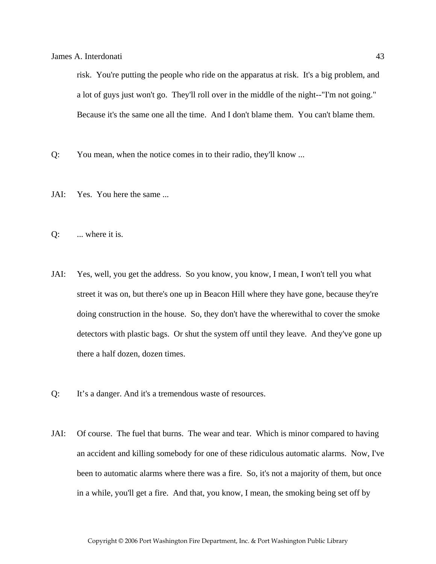risk. You're putting the people who ride on the apparatus at risk. It's a big problem, and a lot of guys just won't go. They'll roll over in the middle of the night--"I'm not going." Because it's the same one all the time. And I don't blame them. You can't blame them.

- Q: You mean, when the notice comes in to their radio, they'll know ...
- JAI: Yes. You here the same ...
- Q: ... where it is.
- JAI: Yes, well, you get the address. So you know, you know, I mean, I won't tell you what street it was on, but there's one up in Beacon Hill where they have gone, because they're doing construction in the house. So, they don't have the wherewithal to cover the smoke detectors with plastic bags. Or shut the system off until they leave. And they've gone up there a half dozen, dozen times.
- Q: It's a danger. And it's a tremendous waste of resources.
- JAI: Of course. The fuel that burns. The wear and tear. Which is minor compared to having an accident and killing somebody for one of these ridiculous automatic alarms. Now, I've been to automatic alarms where there was a fire. So, it's not a majority of them, but once in a while, you'll get a fire. And that, you know, I mean, the smoking being set off by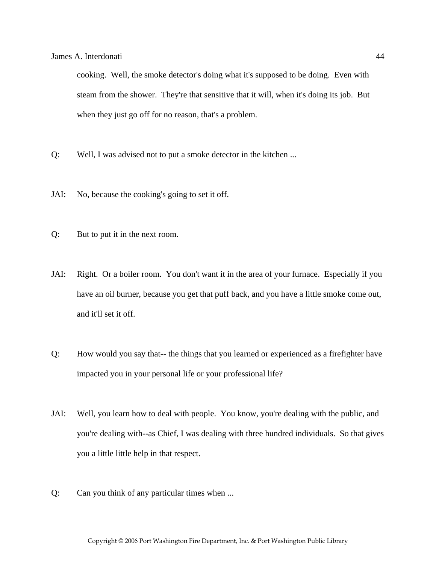cooking. Well, the smoke detector's doing what it's supposed to be doing. Even with steam from the shower. They're that sensitive that it will, when it's doing its job. But when they just go off for no reason, that's a problem.

- Q: Well, I was advised not to put a smoke detector in the kitchen ...
- JAI: No, because the cooking's going to set it off.
- Q: But to put it in the next room.
- JAI: Right. Or a boiler room. You don't want it in the area of your furnace. Especially if you have an oil burner, because you get that puff back, and you have a little smoke come out, and it'll set it off.
- Q: How would you say that-- the things that you learned or experienced as a firefighter have impacted you in your personal life or your professional life?
- JAI: Well, you learn how to deal with people. You know, you're dealing with the public, and you're dealing with--as Chief, I was dealing with three hundred individuals. So that gives you a little little help in that respect.
- Q: Can you think of any particular times when ...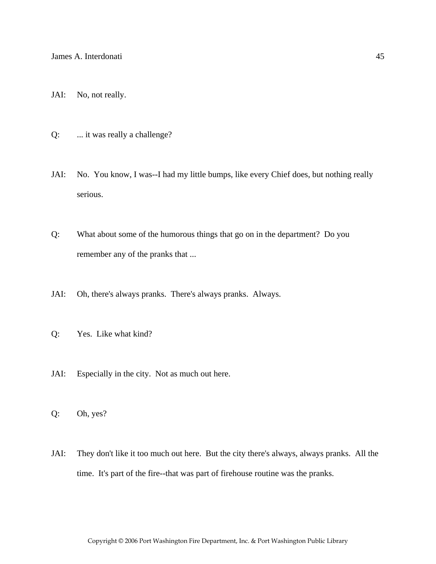- JAI: No, not really.
- Q: ... it was really a challenge?
- JAI: No. You know, I was--I had my little bumps, like every Chief does, but nothing really serious.
- Q: What about some of the humorous things that go on in the department? Do you remember any of the pranks that ...
- JAI: Oh, there's always pranks. There's always pranks. Always.
- Q: Yes. Like what kind?
- JAI: Especially in the city. Not as much out here.
- Q: Oh, yes?
- JAI: They don't like it too much out here. But the city there's always, always pranks. All the time. It's part of the fire--that was part of firehouse routine was the pranks.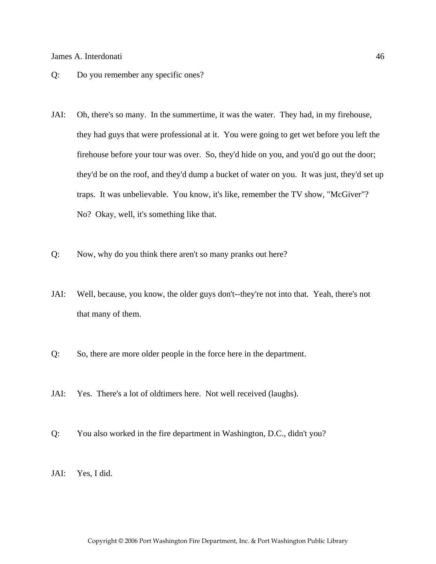- Q: Do you remember any specific ones?
- JAI: Oh, there's so many. In the summertime, it was the water. They had, in my firehouse, they had guys that were professional at it. You were going to get wet before you left the firehouse before your tour was over. So, they'd hide on you, and you'd go out the door; they'd be on the roof, and they'd dump a bucket of water on you. It was just, they'd set up traps. It was unbelievable. You know, it's like, remember the TV show, "McGiver"? No? Okay, well, it's something like that.
- Q: Now, why do you think there aren't so many pranks out here?
- JAI: Well, because, you know, the older guys don't--they're not into that. Yeah, there's not that many of them.
- Q: So, there are more older people in the force here in the department.
- JAI: Yes. There's a lot of oldtimers here. Not well received (laughs).
- Q: You also worked in the fire department in Washington, D.C., didn't you?
- JAI: Yes, I did.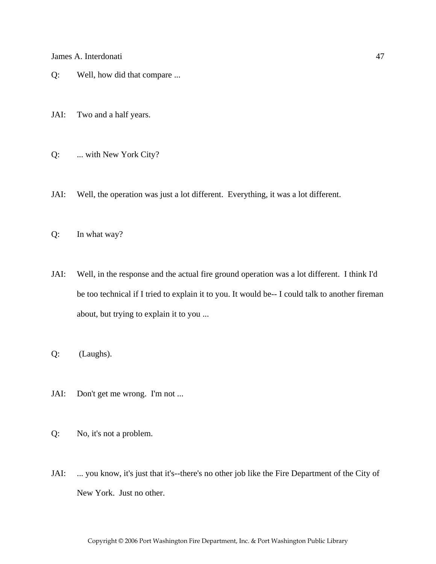- Q: Well, how did that compare ...
- JAI: Two and a half years.
- Q: ... with New York City?
- JAI: Well, the operation was just a lot different. Everything, it was a lot different.
- Q: In what way?
- JAI: Well, in the response and the actual fire ground operation was a lot different. I think I'd be too technical if I tried to explain it to you. It would be-- I could talk to another fireman about, but trying to explain it to you ...
- Q: (Laughs).
- JAI: Don't get me wrong. I'm not ...
- Q: No, it's not a problem.
- JAI: ... you know, it's just that it's--there's no other job like the Fire Department of the City of New York. Just no other.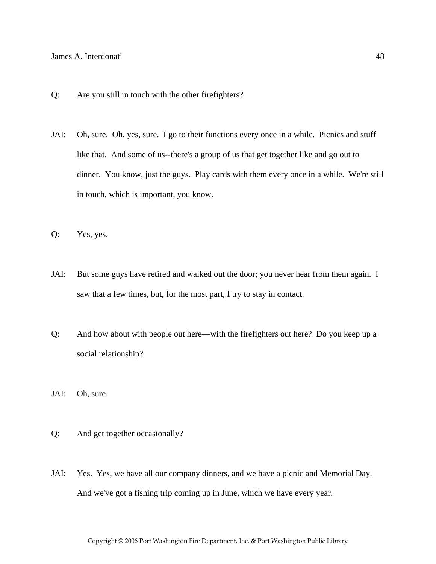- Q: Are you still in touch with the other firefighters?
- JAI: Oh, sure. Oh, yes, sure. I go to their functions every once in a while. Picnics and stuff like that. And some of us--there's a group of us that get together like and go out to dinner. You know, just the guys. Play cards with them every once in a while. We're still in touch, which is important, you know.
- Q: Yes, yes.
- JAI: But some guys have retired and walked out the door; you never hear from them again. I saw that a few times, but, for the most part, I try to stay in contact.
- Q: And how about with people out here—with the firefighters out here? Do you keep up a social relationship?
- JAI: Oh, sure.
- Q: And get together occasionally?
- JAI: Yes. Yes, we have all our company dinners, and we have a picnic and Memorial Day. And we've got a fishing trip coming up in June, which we have every year.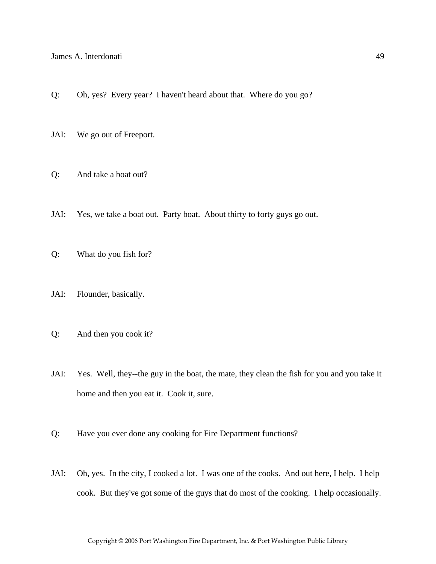- Q: Oh, yes? Every year? I haven't heard about that. Where do you go?
- JAI: We go out of Freeport.
- Q: And take a boat out?
- JAI: Yes, we take a boat out. Party boat. About thirty to forty guys go out.
- Q: What do you fish for?
- JAI: Flounder, basically.
- Q: And then you cook it?
- JAI: Yes. Well, they--the guy in the boat, the mate, they clean the fish for you and you take it home and then you eat it. Cook it, sure.
- Q: Have you ever done any cooking for Fire Department functions?
- JAI: Oh, yes. In the city, I cooked a lot. I was one of the cooks. And out here, I help. I help cook. But they've got some of the guys that do most of the cooking. I help occasionally.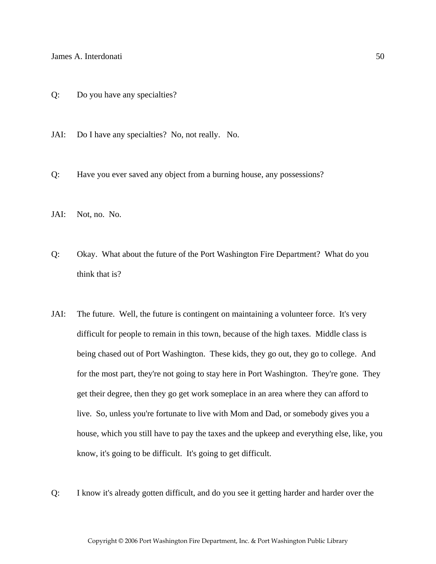- Q: Do you have any specialties?
- JAI: Do I have any specialties? No, not really. No.
- Q: Have you ever saved any object from a burning house, any possessions?
- JAI: Not, no. No.
- Q: Okay. What about the future of the Port Washington Fire Department? What do you think that is?
- JAI: The future. Well, the future is contingent on maintaining a volunteer force. It's very difficult for people to remain in this town, because of the high taxes. Middle class is being chased out of Port Washington. These kids, they go out, they go to college. And for the most part, they're not going to stay here in Port Washington. They're gone. They get their degree, then they go get work someplace in an area where they can afford to live. So, unless you're fortunate to live with Mom and Dad, or somebody gives you a house, which you still have to pay the taxes and the upkeep and everything else, like, you know, it's going to be difficult. It's going to get difficult.
- Q: I know it's already gotten difficult, and do you see it getting harder and harder over the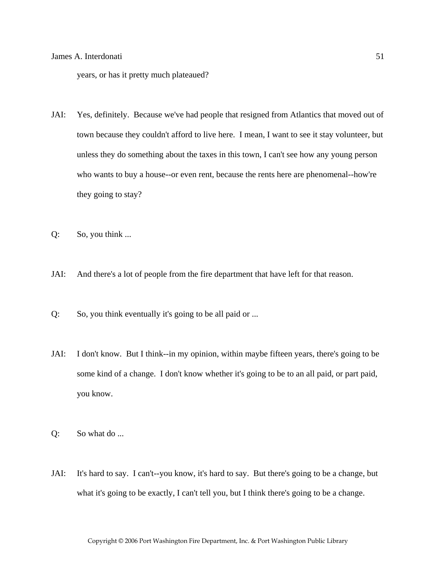years, or has it pretty much plateaued?

- JAI: Yes, definitely. Because we've had people that resigned from Atlantics that moved out of town because they couldn't afford to live here. I mean, I want to see it stay volunteer, but unless they do something about the taxes in this town, I can't see how any young person who wants to buy a house--or even rent, because the rents here are phenomenal--how're they going to stay?
- Q: So, you think ...
- JAI: And there's a lot of people from the fire department that have left for that reason.
- Q: So, you think eventually it's going to be all paid or ...
- JAI: I don't know. But I think--in my opinion, within maybe fifteen years, there's going to be some kind of a change. I don't know whether it's going to be to an all paid, or part paid, you know.
- Q: So what do ...
- JAI: It's hard to say. I can't--you know, it's hard to say. But there's going to be a change, but what it's going to be exactly, I can't tell you, but I think there's going to be a change.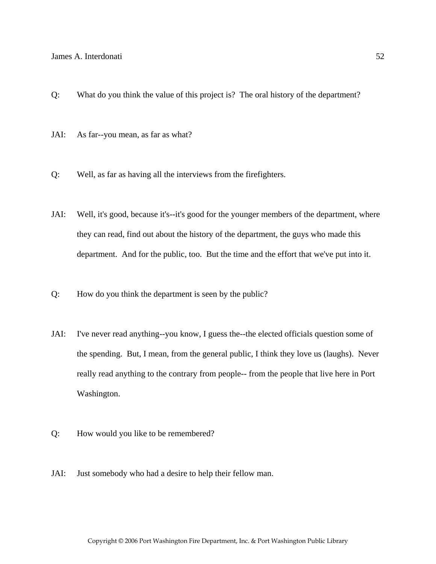- Q: What do you think the value of this project is? The oral history of the department?
- JAI: As far--you mean, as far as what?
- Q: Well, as far as having all the interviews from the firefighters.
- JAI: Well, it's good, because it's--it's good for the younger members of the department, where they can read, find out about the history of the department, the guys who made this department. And for the public, too. But the time and the effort that we've put into it.
- Q: How do you think the department is seen by the public?
- JAI: I've never read anything--you know, I guess the--the elected officials question some of the spending. But, I mean, from the general public, I think they love us (laughs). Never really read anything to the contrary from people-- from the people that live here in Port Washington.
- Q: How would you like to be remembered?
- JAI: Just somebody who had a desire to help their fellow man.